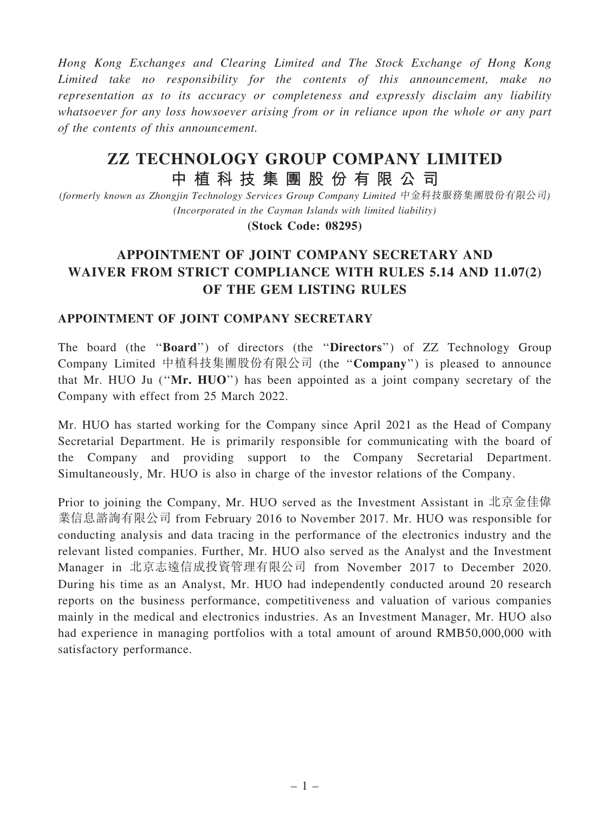Hong Kong Exchanges and Clearing Limited and The Stock Exchange of Hong Kong Limited take no responsibility for the contents of this announcement, make no representation as to its accuracy or completeness and expressly disclaim any liability whatsoever for any loss howsoever arising from or in reliance upon the whole or any part of the contents of this announcement.

## ZZ TECHNOLOGY GROUP COMPANY LIMITED 中 植 科 技 集 團 股 份 有 限 公 司

(formerly known as Zhongjin Technology Services Group Company Limited 中金科技服務集團股份有限公司) (Incorporated in the Cayman Islands with limited liability)

(Stock Code: 08295)

## APPOINTMENT OF JOINT COMPANY SECRETARY AND WAIVER FROM STRICT COMPLIANCE WITH RULES 5.14 AND 11.07(2) OF THE GEM LISTING RULES

## APPOINTMENT OF JOINT COMPANY SECRETARY

The board (the ''Board'') of directors (the ''Directors'') of ZZ Technology Group Company Limited 中植科技集團股份有限公司 (the ''Company'') is pleased to announce that Mr. HUO Ju (''Mr. HUO'') has been appointed as a joint company secretary of the Company with effect from 25 March 2022.

Mr. HUO has started working for the Company since April 2021 as the Head of Company Secretarial Department. He is primarily responsible for communicating with the board of the Company and providing support to the Company Secretarial Department. Simultaneously, Mr. HUO is also in charge of the investor relations of the Company.

Prior to joining the Company, Mr. HUO served as the Investment Assistant in 北京金佳偉 業信息諮詢有限公司 from February 2016 to November 2017. Mr. HUO was responsible for conducting analysis and data tracing in the performance of the electronics industry and the relevant listed companies. Further, Mr. HUO also served as the Analyst and the Investment Manager in 北京志遠信成投資管理有限公司 from November 2017 to December 2020. During his time as an Analyst, Mr. HUO had independently conducted around 20 research reports on the business performance, competitiveness and valuation of various companies mainly in the medical and electronics industries. As an Investment Manager, Mr. HUO also had experience in managing portfolios with a total amount of around RMB50,000,000 with satisfactory performance.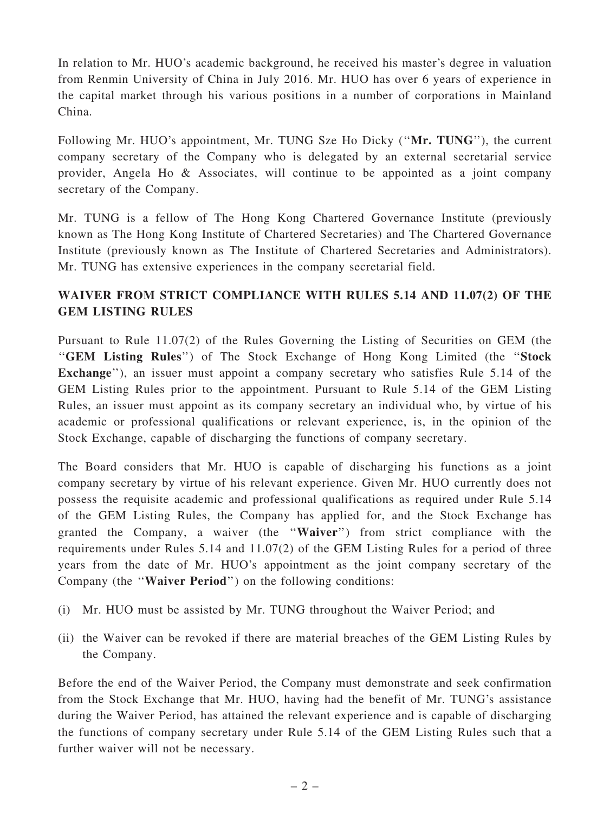In relation to Mr. HUO's academic background, he received his master's degree in valuation from Renmin University of China in July 2016. Mr. HUO has over 6 years of experience in the capital market through his various positions in a number of corporations in Mainland China.

Following Mr. HUO's appointment, Mr. TUNG Sze Ho Dicky ("Mr. TUNG"), the current company secretary of the Company who is delegated by an external secretarial service provider, Angela Ho & Associates, will continue to be appointed as a joint company secretary of the Company.

Mr. TUNG is a fellow of The Hong Kong Chartered Governance Institute (previously known as The Hong Kong Institute of Chartered Secretaries) and The Chartered Governance Institute (previously known as The Institute of Chartered Secretaries and Administrators). Mr. TUNG has extensive experiences in the company secretarial field.

## WAIVER FROM STRICT COMPLIANCE WITH RULES 5.14 AND 11.07(2) OF THE GEM LISTING RULES

Pursuant to Rule 11.07(2) of the Rules Governing the Listing of Securities on GEM (the ''GEM Listing Rules'') of The Stock Exchange of Hong Kong Limited (the ''Stock Exchange''), an issuer must appoint a company secretary who satisfies Rule 5.14 of the GEM Listing Rules prior to the appointment. Pursuant to Rule 5.14 of the GEM Listing Rules, an issuer must appoint as its company secretary an individual who, by virtue of his academic or professional qualifications or relevant experience, is, in the opinion of the Stock Exchange, capable of discharging the functions of company secretary.

The Board considers that Mr. HUO is capable of discharging his functions as a joint company secretary by virtue of his relevant experience. Given Mr. HUO currently does not possess the requisite academic and professional qualifications as required under Rule 5.14 of the GEM Listing Rules, the Company has applied for, and the Stock Exchange has granted the Company, a waiver (the ''Waiver'') from strict compliance with the requirements under Rules 5.14 and 11.07(2) of the GEM Listing Rules for a period of three years from the date of Mr. HUO's appointment as the joint company secretary of the Company (the ''Waiver Period'') on the following conditions:

- (i) Mr. HUO must be assisted by Mr. TUNG throughout the Waiver Period; and
- (ii) the Waiver can be revoked if there are material breaches of the GEM Listing Rules by the Company.

Before the end of the Waiver Period, the Company must demonstrate and seek confirmation from the Stock Exchange that Mr. HUO, having had the benefit of Mr. TUNG's assistance during the Waiver Period, has attained the relevant experience and is capable of discharging the functions of company secretary under Rule 5.14 of the GEM Listing Rules such that a further waiver will not be necessary.